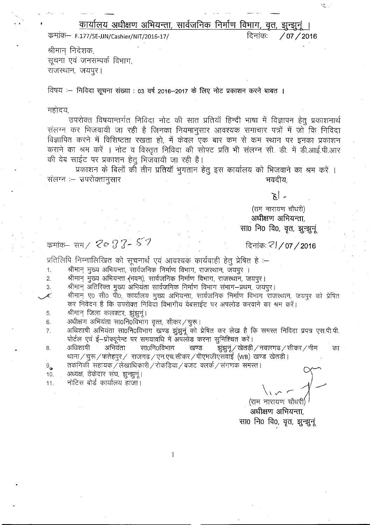कार्यालय अधीक्षण अभियन्ता, सार्वजनिक निर्माण विभाग, वृत, झुन्झुनुं ।

कमांक- F.177/SE-JJN/Cashier/NIT/2016-17/

दिनांकः  $/07 / 2016$  ر مي

श्रीमान् निदेशक, सूचना एवं जनसम्पर्क विभाग, राजस्थान, जयपुर।

विषय :- निविदा सूचना संख्या : 03 वर्ष 2016-2017 के लिए नोट प्रकाशन करने बाबत ।

महोदय.

उपरोक्त विषयान्तर्गत निविदा नोट की सात प्रतियाँ हिन्दी भाषा में विज्ञापन हेतू प्रकाशनार्थ संलग्न कर भिजवायी जा रही है जिनका नियमानुसार आवश्यक समाचार पत्रों में जो कि निविदा विज्ञापित करने में विशिष्टता रखता हो, में केवल एक बार कम से कम स्थान पर इनका प्रकाशन कराने का श्रम करें । नोट व विस्तृत निविदा की सोफ्ट प्रति भी संलग्न सी. डी. में डी.आई.पी.आर की वेब साईट पर प्रकाशन हेतू भिजवायी जा रही है।

प्रकाशन के बिलों की तीन प्रतियाँ भुगतान हेतु इस कार्यालय को भिजवाने का श्रम करें । संलग्न :– उपरोक्तानुसार भवदीय.

۔ اچ

(राम नारायण चौधरी) अधीक्षण अभियन्ता, सा0 नि0 वि0, वृत, झुन्झुनूं

कमांक– सम /  $2033 - 57$ 

दिनांकः Z1/07/2016

प्रतिलिपि निम्नालिखित को सूचनार्थ एवं आवश्यक कार्यवाही हेतू प्रेषित हे :–

श्रीमान् मुख्य अभियन्ता, सार्वजनिक निर्माण विभाग, राजस्थान, जयपुर ।  $1.$ 

श्रीमान् मुख्य अभियन्ता (भवन), सार्वजनिक निर्माण विभाग, राजस्थान, जयपुर।  $\overline{2}$ .

3. श्रीमान् अतिरिक्तं मुख्य अभियंता सार्वजनिक निर्माण विभाग संभाग–प्रथम, जयपुर।

श्रीमान् ए० सी० पी०, कार्यालय मुख्य अभियन्ता, सार्वजनिक निर्माण विभाग राजस्थान, जयपुर को प्रेषित Æ. कर निवेदन है कि उपरोक्त निविदा विभागीय वेबसाईट पर अपलोड करवाने का श्रम करें।

श्रीमान् जिला कलक्टर, झुंझुनू। 5.

अधीक्षण अभियंता सा0नि0विभाग वृत्त, सीकर / चुरू। 6.

अधिशाषी अभियंता सा0नि0विभाग खण्ड झुंझुनूं को प्रेषित कर लेख है कि समस्त निविदा प्रपत्र एस.पी.पी.  $7.$ पोर्टल एवं ई-प्रोक्यूमेन्ट पर समयावधि में अपलोड करना सुनिश्चित करें।

अधिशाषी सा0नि0विभाग अभियंता खण्ड झुंझुनूं / खेतड़ी / नवलगढ / सीकर / नीम  $8.5$ का थाना / चुरू / फतेहपुर / राजगढ / एन.एच.सीकर / पीएमजीएसवाई (WB) खण्ड खेतडी।

 $\Theta_{\bf i_2}$ तकनिकी सहायक / लेखाधिकारी / रोकड़िया / बजट क्लर्क / संगणक समस्त ।

1

अध्यक्ष, ठेकेदार संघ, झुन्झुनूं।  $10.$ 

नोटिस बोर्ड कार्यालय हाजा।  $11.$ 

(राम नारायण चौधरी)

.<br>अधीक्षण अभियन्ता, सा0 नि0 वि0, वृत, झुन्झुनूं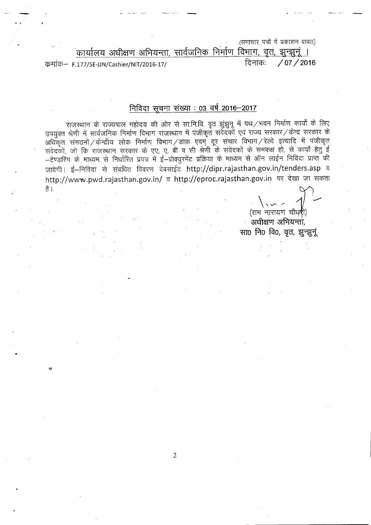(समाचार पत्रों में प्रकाशन बाबत)

.<br><u>The Film (Particle) कार्यालय अभियन्ता, सार्वजनिक निर्माण विभाग, वृत्त, झुन्झुनूं ।</u><br>| दिनांक: / 07 / 2016 ~- F.177/SE-JJN/Cashier/NIT/2016-17/ <sup>~</sup>'"iiCf): **/07/2016**

• !

## **निविदा सूचना संख्या** : 03 वर्ष 2016-2017

राजस्थान के राज्यपाल महोदय की ओर से सा.नि.वि. वृत्त झुंझुनू में पथ/भवन निर्माण कार्यों के लिए उपयुक्त श्रेणी में सार्वजनिक निर्माण विभाग राजस्थान में पंजीकृत संवेदकों एवं राज्य सरकार / केन्द्र सरकार के अधिकृत संगठनों $\!/$ केन्द्रीय लोक निर्माण विभाग $\!/$ डाक एवम् दूर संचार विभाग $\!/$ रेल्वे इत्यादि में पंजीकृत संवेदकों, जो कि राजस्थान सरकार के एए, ए, बी व सी श्रेणी के संवेदकों के समकक्ष हो, से कार्यो हेतु ई - टेण्डरिंग के माध्यम से निर्धारित प्रपत्र में ई-प्रोक्युरमेंट प्रक्रिया के माध्यम से ऑन लाईन निविदा प्राप्त की जावेगी। ई-निविदा से संबधित विवरण वेबसाईट http://dipr.rajasthan.gov.in/tenders.asp व http://www.pwd.rajasthan.gov.in/ व http://eproc.rajasthan.gov.in पर देखा जा सकता  $\mathcal{O}$  . The contract of the contract of the contract of the contract of the contract of the contract of the contract of the contract of the contract of the contract of the contract of the contract of the contract of th

 $\langle \cdot, \cdot \rangle$   $\sim$   $\sim$   $\langle$ (राम नारायण चौध**री**)

ः अधीक्षण अभियन्ता<u>ं</u>, सा0 नि0 वि0, वृत, झुन्झुनूं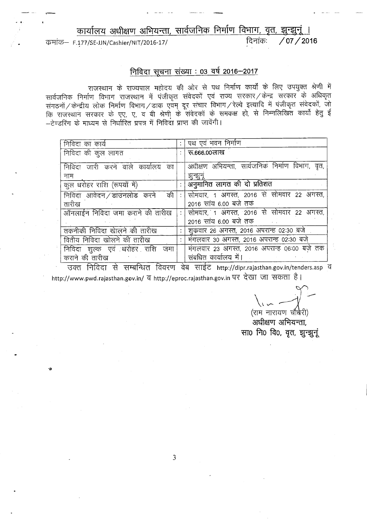कार्यालय अधीक्षण अभियन्ता, सार्वजनिक निर्माण विभाग, वृत, झुन्झुनूं ।

कमांक- F.177/SE-JJN/Cashier/NIT/2016-17/

 $/07/2016$ दिनांकः

## <u>निविदा सूचना संख्या : 03 वर्ष 2016-2017</u>

राजस्थान के राज्यपाल महोदय की ओर से पथ निर्माण कार्यों के लिए उपयुक्त श्रेणी में सार्वजनिक निर्माण विभाग राजस्थान में पंजीकृत संवेदकों एवं राज्य सरकार / केन्द्र सरकार के अधिकृत संगठनों / केन्द्रीय लोक निर्माण विभाग / डाक एवम् दूर संचार विभाग / रेल्वे इत्यादि में पंजीकृत संवेदकों, जो<br>कि राजस्थान सरकार के एए, ए, व बी श्रेणी के संवेदकों के समकक्ष हो, से निम्नलिखित कार्यो हेतु ई –टेण्डरिंग के माध्यम से निर्धारित प्रपत्र में निविदा प्राप्त की जावेंगी।

| पथ एवं भवन निर्माण                              |
|-------------------------------------------------|
| रू.666.00लाख                                    |
|                                                 |
| अधीक्षण अभियन्ता, सार्वजनिक निर्माण विभाग, वृत, |
| झन्झन्                                          |
| अनुमानित लागत की दो प्रतिशत                     |
| सोमवार, 1 अगस्त, 2016 से सोमवार 22 अगस्त,       |
| 2016 सांय 6.00 बजे तकं                          |
| : सोमवार, 1 अगस्त, 2016 से सोमवार 22 अगस्त,     |
| 2016 सांय 6.00 बजे तक                           |
| शुक्रवार 26 अगस्त, 2016 अपरान्ह 02:30 बजे       |
| मंगलवार 30 अगस्त, 2016 अपरान्ह 02:30 बजे        |
| मंगलवार 23 अगस्त, 2016 अपरान्ह 06:00 बजे तक     |
| संबधित कार्यालय में।                            |
|                                                 |

उक्त निविदा से सम्बन्धित विवरण वेब साईट http://dipr.rajasthan.gov.in/tenders.asp व http://www.pwd.rajasthan.gov.in/ व http://eproc.rajasthan.gov.in पर देखा जा सकता है।

(राम नारायण चौधेरी)

अधीक्षण अभियन्ता. सा0 नि0 वि0, वृत, झुन्झुनूं

3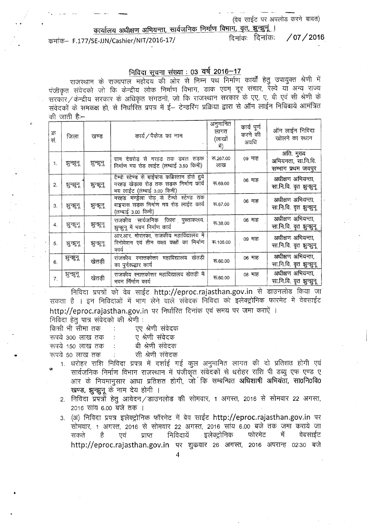(वेब साईट पर अपलोड करने बाबत)

<u>कार्यालय अधीक्षण अभियन्ता, सार्वजनिक निर्माण विभाग, वृत, झुन्झुनूं ।</u><br>SE UN/Casbier/NIT/2016-17/

कमांक– F.177/SE-JJN/Cashier/NIT/2016-17/ दिनांकः (07 / 2016)

## <u>निविदा सूचना संख्या : 03 वर्ष 2016-17</u>

राजस्थान के राज्यपाल महोदय की ओर से निम्न पथ निर्माण कार्यों हेतु उपायुक्त श्रेणी में पंजीकृत संवेदको जो कि केन्द्रीय लोक निर्माण विभाग, डाक एवम् दूर संचार, रेल्वे याँ अन्य राज्य सरकार/केन्द्रीय सरकार के अधिकृत संगठनों, जो कि राजस्थान सरकार के एए, ए, बी एवं सी श्रेणी के सरकार ⁄ कन्द्रीय सरकार के आधकृत संगठना, जो कि राजस्थान सरकार के एए, ए, बाँ एप साँ ?<br>संवेदकों के समकक्ष हो, से निर्धारित प्रपत्र में ई— टेन्डरिंग प्रक्रिया द्वारा से ऑन लाईन निविदाये अ की जाती है:—

| क्र<br>सं. | जिला       | खण्ड     | कार्य/पैकेज का नाम                                                                                                      | अनुमानित<br>लागत<br>(लाखों<br>में) | कार्य पूर्ण<br>करने की<br>अवधि | ऑन लाईन निविदा<br>खोलने का स्थान                       |
|------------|------------|----------|-------------------------------------------------------------------------------------------------------------------------|------------------------------------|--------------------------------|--------------------------------------------------------|
| 1.         | झुन्झूनू   | झुन्झून् | ग्राम देवरोड़ से नरहड़ तक डबल सड़क<br>निर्माण मय रोड़ लाईट (लम्बाई 3.50 किमी)                                           | ক.267.00<br>लाख                    | ०९ माह                         | अति. मुख्य<br>अभियनता, सा.नि.वि.<br>सम्भाग प्रथम जयपुर |
| 2.         | ञ्जुन्झून् | झुन्झूनू | टैम्पो स्टेण्ड से बाईपास कब्रिस्तान होते हुये<br>नरहड़ खेड़ला रोड़ तक सड़क निर्माण कार्य<br>मय लाईट (लंम्बाई 3.00 किमी) | ক.69.00                            | ०६ माह                         | अधीक्षण अभियन्ता,<br>सा.नि.वि. वृत झुन्झुनू            |
| 3.         | ञ्चन्नून्  | झुन्झूनू | नरहड मण्ड्रेला रोड़ से टैम्पो स्टेण्ड तक<br>बाइपास सडक निर्माण मय रोड़ लाईट कार्य<br>(लम्बाई 3.00 किमी)                 | रू.67.00                           | 06 माह                         | अधीक्षण अभियन्ता.<br>सा.नि.वि. वृत झुन्झुनू            |
| 4.         | ञुन्झ्न    | झुन्झूनू | राजकीय सार्वजनिक जिला पुस्ताकलय,<br>झुन्झुनू में भवन निर्माण कार्य                                                      | ক.38.00                            | ०६ माह                         | अधीक्षण अभियन्ता,<br>सा.नि.वि. वृत झुन्झुनू            |
| 5.         | ञ्जुन्नून् | झुन्झून् | आर.आर. मोरारका, राजकीय महाविद्यालय में<br>रिनोवेशन एवं तीन कक्षा कक्षों का निर्माण<br>कार्य                             | रू.105.00                          | ०९ माह                         | अधीक्षण अभियन्ता.<br>सा.नि.वि. वृत झुन्झुनू            |
| 6.         | झुन्झूनू   | खेतड़ी   | राजकीय स्नात्तकोत्तर महाविद्यालय खेतड़ी<br>का पुर्नुरूद्धार कार्य                                                       | ক.60.00                            | ०६ माह                         | अधीक्षण अभियन्ता,<br>सा.नि.वि. वृत झुन्झुनू            |
| 7.         | झुन्झूनू   | खेतड़ी   | राजकीय स्नात्तकोत्तर महाविद्यालय खेतड़ी में<br>भवन र्निर्माण कार्य                                                      | ক.60.00                            | ०८ माह                         | अधीक्षण अभियन्ता,<br>सा.नि.वि. वृत झुन्झुनू            |

निविदा प्रपत्रों को वेब साईट http://eproc.rajasthan.gov.in से डाउनलोड किया जा सकता है । इन निविदाओं में भाग लेने वाले संवेदक निविदा को इलेक्ट्रोनिक फारमेट में वेबसाईट http://eproc.rajasthan.gov.in पर निर्धारित दिनांक एवं समय पर जमा कराएें । निविदा हेत पात्र संवेदको की श्रेणी :

|   | किसी भी सीमा तक      | $\sim 100$ | एए श्रेणी संवेदक |
|---|----------------------|------------|------------------|
|   | रूपये 300 लाख तक     |            | ए श्रेणी संवेदक  |
|   | रूपये 150 लाख तक ः   |            | बी श्रेणी संवेदक |
| ÷ | रूपये 50 लाख तक    : |            | सी श्रेणी संवेदक |

- 1. धरोहर राशि निविदा प्रपत्र में दर्शाई गई कुल अनुमानित लागत की दो प्रतिशत होगी एवं सार्वजनिक निर्माण विभाग राजस्थान में पंजीकृत संवेदकों से धरोहर राशि पी डब्यु एफ एण्ड ए आर के नियमानुसार आधा प्रतिशत होगी, जो कि सम्बन्धित अधिशाषी अभियंता, सा0नि0वि0 <sub>.</sub>खण्ड, झुन्झुनू के नाम देय होगी ।
	- 2. निविदा प्रपत्नों हेत् आवेदन/डाउनलोड की सोमवार, 1 अगस्त, 2016 से सोमवार 22 अगस्त, 2016 सांय 6.00 बजे तक ।
	- 3. (अ) निविदा प्रपत्र इलेक्ट्रोनिक फॉरमेट में बेव साईट http://eproc.rajasthan.gov.in पर सोमवार, 1 अगस्त, 2016 से सोमवार 22 अगस्त, 2016 साय 6.00 बजे तक जमा कराये जा<br>सकते है एवं प्राप्त निविदायें इलेक्ट्रोनिक फोरमेट में वेबसाईट http://eproc.rajasthan.gov.in पर शुक्रवार 26 अगस्त, 2016 अपरान्ह 02:30 बजे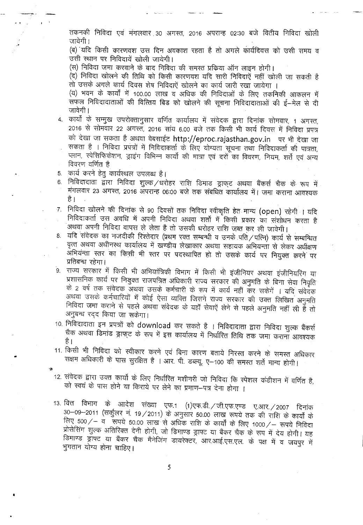तकनकी निविदा एवं मंगलवार 30 अगस्त, 2016 अपरान्ह 02:30 बजे वितीय निविदा खोली जावेगी ।

(ब) यदि किसी कारणवश उस दिन अवकाश रहता है तो अगले कार्यदिवस को उसी समय व उसी स्थान पर निविदायें खोली जायेगी।

(स) निविदा जमा करवाने के बाद निविदा की समस्त प्रक्रिया ऑन लाइन होगी।

(द) निविदा खोलने की तिथि को किसी कारणवश यदि सारी निविदाएें नहीं खोली जा सकती है तो उसके अगले कार्य दिवस शेष निविदाऐं खोलने का कार्य जारी रखा जायेगा ।

(य) भवन के कार्यों में 100.00 लाख व अधिक की निविदाओं के लिए तकनिकी आकलन में .<br>सफल निविदादाताओं की वित्तिय बिड को खोलने की सूचना निविदादाताओं की ई–मेल से दी जावेगी।

- 4. कार्यों के सम्मुख उपरोक्तानुसार वर्णित कार्यालय में संवेदक द्वारा दिनांक सोमवार, 1 अगस्त, 2016 से सोमवार 22 अगस्त, 2016 सांय 6.00 बजे तक किसी भी कार्य दिवस में निविदा प्रपत्र को देखा जा सकता है अथवा वेबसाईट http://eproc.rajasthan.gov.in पर भी देखा जा सकता है । निविदा प्रपत्रों में निविदाकर्ता के लिए योग्यता सूचना तथा निविदाकर्ता की पात्रता, प्लान, स्पेसिफिकेशन, ड्राइंग विभिन्न कार्यो की मात्रा एवं दरों का विवरण, नियम, शर्ते एवं अन्य विवरण वर्णित है
- 5. कार्य करने हेत् कार्यस्थल उपलब्ध है।

I '

- 5. पंगव करने हेतु कायस्थले उपलब्ध हैं।<br>6. निविदादाता द्वारा निविदा शुल्के /धरोहर राशि डिमाड ड्राफ्**ट अथवा बैंकर्स चैक के रूप** में मंगलवार 23 अगस्त, 2016 अपरान्ह 06:00 बजे तक संबधित कार्यालय में। जमा कराना आवश्यक है ।
- 7. निविदा खोलने की दिनांक से 90 दिवसों तक निविदा स्वीकृति हेत मान्य (open) रहेगी । यदि निविदाकर्ता उस अवधि में अपनी निविदा अथवा शर्तो में किसी प्रकार का संशोधन करता है .<br>अथवा अपनी निविदा वापस ले लेता है तो उसकी धरोहर राशि जब्त कर ली जावेगी।
- 8. यदि संवेदक का नजदीकी रिश्तेदार (प्रथम रक्त सम्बन्धी व उनके पति / पत्नि) कार्य से सम्बन्धित वृत्त अथवा अधीनस्थ कार्यालय में खण्डीय लेखाकार अथवा सहायक अभियन्ता से लेकर अधीक्षण आभियन्ता स्तर का किसी भी स्तर पर पदस्थापित हो तो उसके कार्य पर नियुक्त करने पर प्रतिबन्ध रहेगा।
- 9. राज्य सरकार में किसी भी अभियांत्रिकी विभाग में किसी भी इंजीनियर अथवा इंजीनियरिंग या प्रशासनिक कार्य पर नियुक्त राजपत्रित अधिकारी राज्य सरकार की अनुमति के बिना सेवा निवृति के 2 वर्ष तक संवेदक अथवा उसके कर्मचारी के रूप में कार्य नहीं कर सकेगें । यदि संवेदक अथवा उसके कर्मचारियों में कोई ऐसा व्यक्ति जिसने राज्य सरकार की उक्त लिखित अनुमति निविदा जमा कराने से पहले अथवा संवेदक के यहाँ सेवाऐं लेने से पहले अनुमति नहीं ली हैं तो अनुबन्ध रदद किया जा सकेगा।
- 10. निविदादाता इन प्रपत्रों को download कर सकते है । निविदादाता द्वारा निविदा शुल्क बैंकर्स चैक अथवा डिमांड ड्राफ्ट के रूप में इस कार्यालय में निर्धारित तिथि तक जमा कराना आवश्यक है ।
- ैं।<br>11. किसी भी निविदा को स्वीकार करने एवं बिना कारण बताये निरस्त करने के समस्त अधित सक्षम अधिकारी के पास सुरक्षित है । आर. पी. डब्ल्यू. ए- 100 की समस्त शर्ते मान्य होगी।
- 12. संवेदक द्वारा उक्त कार्यो के लिए निर्धारित मशीनरी जो निविदा कि स्पेशल कंडीशन में वर्णित है, को स्वयं के पास होने या किराये पर लेने का प्रमाण-पत्र देना होगा ।
- 13. वित्त विभाग के आदेश संख्या एफ.1 (1)एफ.डी. ⁄ जी.एफ.एण्ड ए.आर. ⁄ 2007 हि rasi Tanni a) आदेश संख्या एफ.1 (1)एफ.डा. / जा.एफ.एण्ड ए.आर. / 2007 दिनांक<br>30—09—2011 (सर्कुलर नं. 19 / 2011) के अनुसार 50.00 लाख रूपये तक की राशि के कार्यों के<br>नियु 500 / जून संस्कृति के अन्य कर के अनुसार 50.00 लाख रूपये *~ 50 2011 (त्तपुरं*गर ना 197 2011) के अनुसार 50.00 लाख रूपय तक की शोश के कार्यों के<br>लिए 500 / – व रूपये 50.00 लाख से अधिक राशि के कार्यों के लिए 1000 / – रूपये निविद्या<br>पोसेपिया सुन्नू अतिरिक्त के के के के दिल रनर 5007 – पर रूपय 50.00 लाख से आंधेक राशि के कार्यों के लिए 10007 – रूपये निविदा<br>प्रोसेसिंग शुल्क अतिरिक्त देनी होगी, जो डिमाण्ड ड्राफ्ट या बैंकर चैंक के रूप में देय होगी। यह <sup>~</sup> <sup>~</sup> <sup>m</sup> m "ifcn <sup>~</sup> 'Slll~CfC'<, 3lR.3lTt.~.1[C'f. \* cra1 if q ~ if भुगतान योग्य होना चाहिए।

5